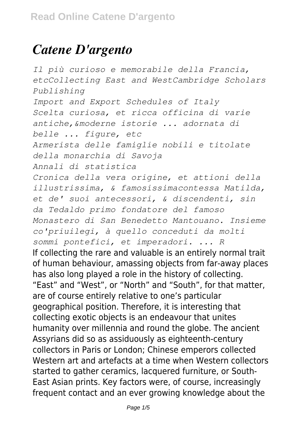## *Catene D'argento*

*Il più curioso e memorabile della Francia, etcCollecting East and WestCambridge Scholars Publishing Import and Export Schedules of Italy Scelta curiosa, et ricca officina di varie antiche,&moderne istorie ... adornata di belle ... figure, etc Armerista delle famiglie nobili e titolate della monarchia di Savoja Annali di statistica Cronica della vera origine, et attioni della illustrissima, & famosissimacontessa Matilda, et de' suoi antecessori, & discendenti, sin da Tedaldo primo fondatore del famoso Monastero di San Benedetto Mantouano. Insieme co'priuilegi, à quello conceduti da molti sommi pontefici, et imperadori. ... R* If collecting the rare and valuable is an entirely normal trait of human behaviour, amassing objects from far-away places has also long played a role in the history of collecting. "East" and "West", or "North" and "South", for that matter, are of course entirely relative to one's particular geographical position. Therefore, it is interesting that collecting exotic objects is an endeavour that unites humanity over millennia and round the globe. The ancient Assyrians did so as assiduously as eighteenth-century collectors in Paris or London; Chinese emperors collected Western art and artefacts at a time when Western collectors started to gather ceramics, lacquered furniture, or South-East Asian prints. Key factors were, of course, increasingly frequent contact and an ever growing knowledge about the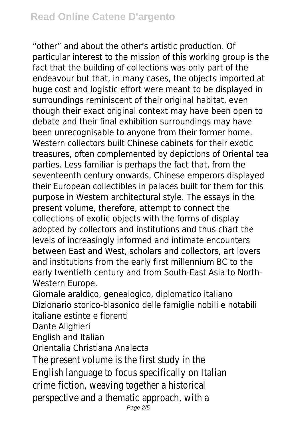"other" and about the other's artistic production. Of particular interest to the mission of this working group is the fact that the building of collections was only part of the endeavour but that, in many cases, the objects imported at huge cost and logistic effort were meant to be displayed in surroundings reminiscent of their original habitat, even though their exact original context may have been open to debate and their final exhibition surroundings may have been unrecognisable to anyone from their former home. Western collectors built Chinese cabinets for their exotic treasures, often complemented by depictions of Oriental tea parties. Less familiar is perhaps the fact that, from the seventeenth century onwards, Chinese emperors displayed their European collectibles in palaces built for them for this purpose in Western architectural style. The essays in the present volume, therefore, attempt to connect the collections of exotic objects with the forms of display adopted by collectors and institutions and thus chart the levels of increasingly informed and intimate encounters between East and West, scholars and collectors, art lovers and institutions from the early first millennium BC to the early twentieth century and from South-East Asia to North-Western Europe.

Giornale araldico, genealogico, diplomatico italiano Dizionario storico-blasonico delle famiglie nobili e notabili italiane estinte e fiorenti

Dante Alighieri

English and Italian

Orientalia Christiana Analecta

The present volume is the first study in the English language to focus specifically on Italian crime fiction, weaving together a historical perspective and a thematic approach, with a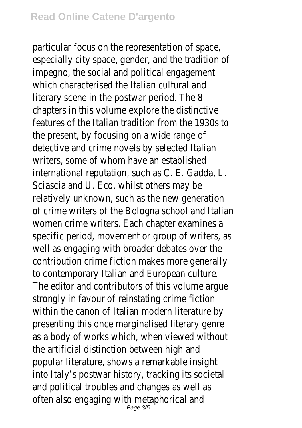particular focus on the representation of space, especially city space, gender, and the tradition of impegno, the social and political engagement which characterised the Italian cultural and literary scene in the postwar period. The 8 chapters in this volume explore the distinctive features of the Italian tradition from the 1930s to the present, by focusing on a wide range of detective and crime novels by selected Italian writers, some of whom have an established international reputation, such as C. E. Gadda, L. Sciascia and U. Eco, whilst others may be relatively unknown, such as the new generation of crime writers of the Bologna school and Italian women crime writers. Each chapter examines a specific period, movement or group of writers, as well as engaging with broader debates over the contribution crime fiction makes more generally to contemporary Italian and European culture. The editor and contributors of this volume argue strongly in favour of reinstating crime fiction within the canon of Italian modern literature by presenting this once marginalised literary genre as a body of works which, when viewed without the artificial distinction between high and popular literature, shows a remarkable insight into Italy's postwar history, tracking its societal and political troubles and changes as well as often also engaging with metaphorical and<br>Page 3/5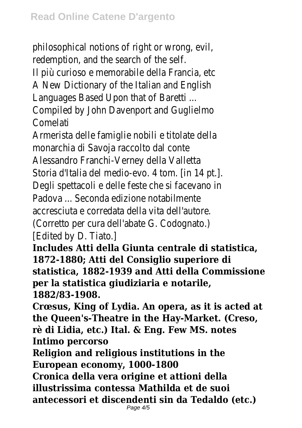philosophical notions of right or wrong, evil, redemption, and the search of the self. Il più curioso e memorabile della Francia, etc A New Dictionary of the Italian and English Languages Based Upon that of Baretti ... Compiled by John Davenport and Guglielmo Comelati

Armerista delle famiglie nobili e titolate della monarchia di Savoja raccolto dal conte Alessandro Franchi-Verney della Valletta Storia d'Italia del medio-evo. 4 tom. [in 14 pt.]. Degli spettacoli e delle feste che si facevano in Padova ... Seconda edizione notabilmente accresciuta e corredata della vita dell'autore. (Corretto per cura dell'abate G. Codognato.) [Edited by D. Tiato.]

**Includes Atti della Giunta centrale di statistica, 1872-1880; Atti del Consiglio superiore di statistica, 1882-1939 and Atti della Commissione per la statistica giudiziaria e notarile, 1882/83-1908.**

**Crœsus, King of Lydia. An opera, as it is acted at the Queen's-Theatre in the Hay-Market. (Creso, rè di Lidia, etc.) Ital. & Eng. Few MS. notes Intimo percorso**

**Religion and religious institutions in the European economy, 1000-1800**

**Cronica della vera origine et attioni della illustrissima contessa Mathilda et de suoi antecessori et discendenti sin da Tedaldo (etc.)** Page 4/5